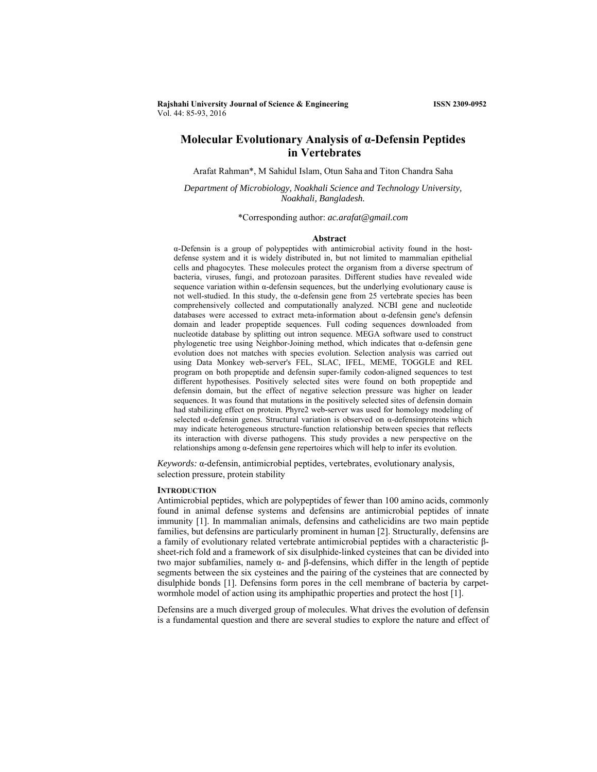**Rajshahi University Journal of Science & Engineering ISSN 2309-0952** Vol. 44: 85-93, 2016

# **Molecular Evolutionary Analysis of α-Defensin Peptides in Vertebrates**

Arafat Rahman\*, M Sahidul Islam, Otun Saha and Titon Chandra Saha

*Department of Microbiology, Noakhali Science and Technology University, Noakhali, Bangladesh.*

\*Corresponding author: *ac.arafat@gmail.com*

#### **Abstract**

α-Defensin is a group of polypeptides with antimicrobial activity found in the hostdefense system and it is widely distributed in, but not limited to mammalian epithelial cells and phagocytes. These molecules protect the organism from a diverse spectrum of bacteria, viruses, fungi, and protozoan parasites. Different studies have revealed wide sequence variation within  $\alpha$ -defensin sequences, but the underlying evolutionary cause is not well-studied. In this study, the α-defensin gene from 25 vertebrate species has been comprehensively collected and computationally analyzed. NCBI gene and nucleotide databases were accessed to extract meta-information about α-defensin gene's defensin domain and leader propeptide sequences. Full coding sequences downloaded from nucleotide database by splitting out intron sequence. MEGA software used to construct phylogenetic tree using Neighbor-Joining method, which indicates that α-defensin gene evolution does not matches with species evolution. Selection analysis was carried out using Data Monkey web-server's FEL, SLAC, IFEL, MEME, TOGGLE and REL program on both propeptide and defensin super-family codon-aligned sequences to test different hypothesises. Positively selected sites were found on both propeptide and defensin domain, but the effect of negative selection pressure was higher on leader sequences. It was found that mutations in the positively selected sites of defensin domain had stabilizing effect on protein. Phyre2 web-server was used for homology modeling of selected α-defensin genes. Structural variation is observed on α-defensinproteins which may indicate heterogeneous structure-function relationship between species that reflects its interaction with diverse pathogens. This study provides a new perspective on the relationships among α-defensin gene repertoires which will help to infer its evolution.

*Keywords:* α-defensin, antimicrobial peptides, vertebrates, evolutionary analysis, selection pressure, protein stability

#### **INTRODUCTION**

Antimicrobial peptides, which are polypeptides of fewer than 100 amino acids, commonly found in animal defense systems and defensins are antimicrobial peptides of innate immunity [1]. In mammalian animals, defensins and cathelicidins are two main peptide families, but defensins are particularly prominent in human [2]. Structurally, defensins are a family of evolutionary related vertebrate antimicrobial peptides with a characteristic βsheet-rich fold and a framework of six disulphide-linked cysteines that can be divided into two major subfamilies, namely α- and β-defensins, which differ in the length of peptide segments between the six cysteines and the pairing of the cysteines that are connected by disulphide bonds [1]. Defensins form pores in the cell membrane of bacteria by carpetwormhole model of action using its amphipathic properties and protect the host [1].

Defensins are a much diverged group of molecules. What drives the evolution of defensin is a fundamental question and there are several studies to explore the nature and effect of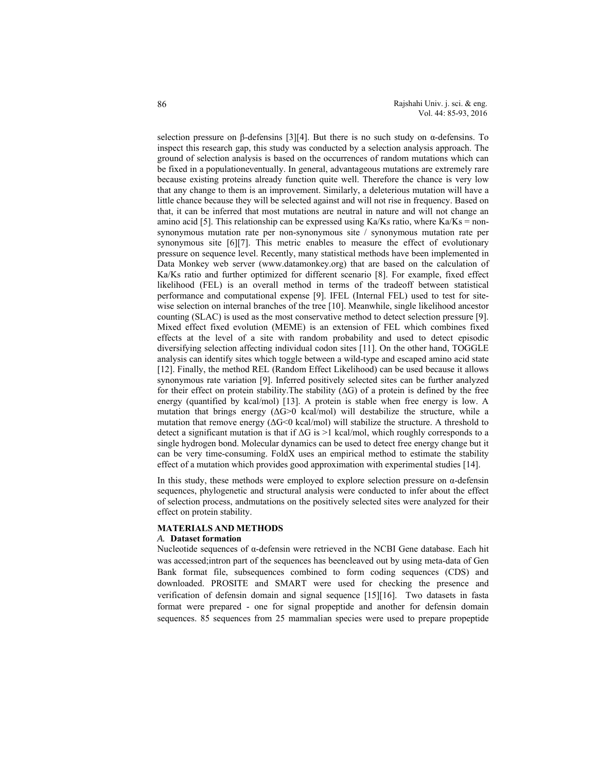selection pressure on β-defensins [3][4]. But there is no such study on  $\alpha$ -defensins. To inspect this research gap, this study was conducted by a selection analysis approach. The ground of selection analysis is based on the occurrences of random mutations which can be fixed in a populationeventually. In general, advantageous mutations are extremely rare because existing proteins already function quite well. Therefore the chance is very low that any change to them is an improvement. Similarly, a deleterious mutation will have a little chance because they will be selected against and will not rise in frequency. Based on that, it can be inferred that most mutations are neutral in nature and will not change an amino acid [5]. This relationship can be expressed using Ka/Ks ratio, where Ka/Ks = nonsynonymous mutation rate per non-synonymous site / synonymous mutation rate per synonymous site [6][7]. This metric enables to measure the effect of evolutionary pressure on sequence level. Recently, many statistical methods have been implemented in Data Monkey web server (www.datamonkey.org) that are based on the calculation of Ka/Ks ratio and further optimized for different scenario [8]. For example, fixed effect likelihood (FEL) is an overall method in terms of the tradeoff between statistical performance and computational expense [9]. IFEL (Internal FEL) used to test for sitewise selection on internal branches of the tree [10]. Meanwhile, single likelihood ancestor counting (SLAC) is used as the most conservative method to detect selection pressure [9]. Mixed effect fixed evolution (MEME) is an extension of FEL which combines fixed effects at the level of a site with random probability and used to detect episodic diversifying selection affecting individual codon sites [11]. On the other hand, TOGGLE analysis can identify sites which toggle between a wild-type and escaped amino acid state [12]. Finally, the method REL (Random Effect Likelihood) can be used because it allows synonymous rate variation [9]. Inferred positively selected sites can be further analyzed for their effect on protein stability.The stability (∆G) of a protein is defined by the free energy (quantified by kcal/mol) [13]. A protein is stable when free energy is low. A mutation that brings energy  $(\Delta G > 0 \text{ kcal/mol})$  will destabilize the structure, while a mutation that remove energy (∆G<0 kcal/mol) will stabilize the structure. A threshold to detect a significant mutation is that if ∆G is >1 kcal/mol, which roughly corresponds to a single hydrogen bond. Molecular dynamics can be used to detect free energy change but it can be very time-consuming. FoldX uses an empirical method to estimate the stability effect of a mutation which provides good approximation with experimental studies [14].

In this study, these methods were employed to explore selection pressure on  $\alpha$ -defensin sequences, phylogenetic and structural analysis were conducted to infer about the effect of selection process, andmutations on the positively selected sites were analyzed for their effect on protein stability.

#### **MATERIALS AND METHODS**

# *A.* **Dataset formation**

Nucleotide sequences of α-defensin were retrieved in the NCBI Gene database. Each hit was accessed;intron part of the sequences has beencleaved out by using meta-data of Gen Bank format file, subsequences combined to form coding sequences (CDS) and downloaded. PROSITE and SMART were used for checking the presence and verification of defensin domain and signal sequence [15][16]. Two datasets in fasta format were prepared - one for signal propeptide and another for defensin domain sequences. 85 sequences from 25 mammalian species were used to prepare propeptide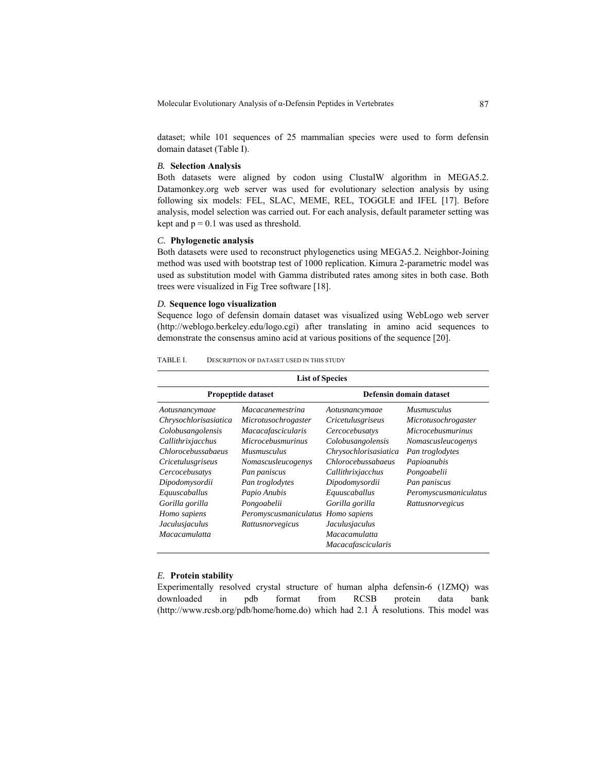Molecular Evolutionary Analysis of α-Defensin Peptides in Vertebrates 87

dataset; while 101 sequences of 25 mammalian species were used to form defensin domain dataset (Table I).

# *B.* **Selection Analysis**

Both datasets were aligned by codon using ClustalW algorithm in MEGA5.2. Datamonkey.org web server was used for evolutionary selection analysis by using following six models: FEL, SLAC, MEME, REL, TOGGLE and IFEL [17]. Before analysis, model selection was carried out. For each analysis, default parameter setting was kept and  $p = 0.1$  was used as threshold.

## *C.* **Phylogenetic analysis**

Both datasets were used to reconstruct phylogenetics using MEGA5.2. Neighbor-Joining method was used with bootstrap test of 1000 replication. Kimura 2-parametric model was used as substitution model with Gamma distributed rates among sites in both case. Both trees were visualized in Fig Tree software [18].

# *D.* **Sequence logo visualization**

Sequence logo of defensin domain dataset was visualized using WebLogo web server (http://weblogo.berkeley.edu/logo.cgi) after translating in amino acid sequences to demonstrate the consensus amino acid at various positions of the sequence [20].

| <b>List of Species</b>   |                          |                           |                          |  |  |  |
|--------------------------|--------------------------|---------------------------|--------------------------|--|--|--|
| Propeptide dataset       |                          | Defensin domain dataset   |                          |  |  |  |
| Aotusnancymaae           | <i>Macacanemestrina</i>  | Aotusnancymaae            | <b>Musmusculus</b>       |  |  |  |
| Chrysochlorisasiatica    | Microtusochrogaster      | <i>Cricetulusgriseus</i>  | Microtusochrogaster      |  |  |  |
| Colobusangolensis        | Macacafascicularis       | Cercocebusatys            | <b>Microcebusmurinus</b> |  |  |  |
| Callithrixjacchus        | <i>Microcebusmurinus</i> | Colobusangolensis         | Nomascusleucogenys       |  |  |  |
| Chlorocebussabaeus       | <b>Musmusculus</b>       | Chrysochlorisasiatica     | Pan troglodytes          |  |  |  |
| <i>Cricetulusgriseus</i> | Nomascusleucogenys       | Chlorocebussabaeus        | Papioanubis              |  |  |  |
| Cercocebusatys           | Pan paniscus             | Callithrixjacchus         | Pongoabelii              |  |  |  |
| Dipodomysordii           | Pan troglodytes          | Dipodomysordii            | Pan paniscus             |  |  |  |
| Equuscaballus            | Papio Anubis             | Equuscaballus             | Peromyscusmaniculatus    |  |  |  |
| Gorilla gorilla          | Pongoabelii              | Gorilla gorilla           | Rattusnorvegicus         |  |  |  |
| Homo sapiens             | Peromyscusmaniculatus    | Homo sapiens              |                          |  |  |  |
| Jaculusjaculus           | Rattusnorvegicus         | Jaculusjaculus            |                          |  |  |  |
| <i>Macacamulatta</i>     |                          | <i>Macacamulatta</i>      |                          |  |  |  |
|                          |                          | <i>Macacafascicularis</i> |                          |  |  |  |

TABLE I. DESCRIPTION OF DATASET USED IN THIS STUDY

#### *E.* **Protein stability**

Experimentally resolved crystal structure of human alpha defensin-6 (1ZMQ) was downloaded in pdb format from RCSB protein data bank (http://www.rcsb.org/pdb/home/home.do) which had 2.1 Å resolutions. This model was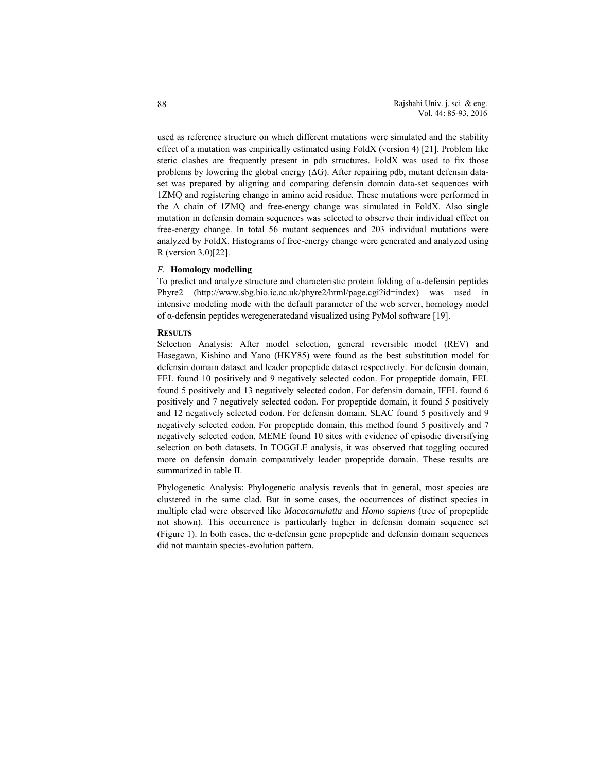used as reference structure on which different mutations were simulated and the stability effect of a mutation was empirically estimated using FoldX (version 4) [21]. Problem like steric clashes are frequently present in pdb structures. FoldX was used to fix those problems by lowering the global energy  $( \Delta G)$ . After repairing pdb, mutant defensin dataset was prepared by aligning and comparing defensin domain data-set sequences with 1ZMQ and registering change in amino acid residue. These mutations were performed in the A chain of 1ZMQ and free-energy change was simulated in FoldX. Also single mutation in defensin domain sequences was selected to observe their individual effect on free-energy change. In total 56 mutant sequences and 203 individual mutations were analyzed by FoldX. Histograms of free-energy change were generated and analyzed using R (version 3.0)[22].

### *F.* **Homology modelling**

To predict and analyze structure and characteristic protein folding of α-defensin peptides Phyre2 (http://www.sbg.bio.ic.ac.uk/phyre2/html/page.cgi?id=index) was used in intensive modeling mode with the default parameter of the web server, homology model of α-defensin peptides weregeneratedand visualized using PyMol software [19].

### **RESULTS**

Selection Analysis: After model selection, general reversible model (REV) and Hasegawa, Kishino and Yano (HKY85) were found as the best substitution model for defensin domain dataset and leader propeptide dataset respectively. For defensin domain, FEL found 10 positively and 9 negatively selected codon. For propeptide domain, FEL found 5 positively and 13 negatively selected codon. For defensin domain, IFEL found 6 positively and 7 negatively selected codon. For propeptide domain, it found 5 positively and 12 negatively selected codon. For defensin domain, SLAC found 5 positively and 9 negatively selected codon. For propeptide domain, this method found 5 positively and 7 negatively selected codon. MEME found 10 sites with evidence of episodic diversifying selection on both datasets. In TOGGLE analysis, it was observed that toggling occured more on defensin domain comparatively leader propeptide domain. These results are summarized in table II.

Phylogenetic Analysis: Phylogenetic analysis reveals that in general, most species are clustered in the same clad. But in some cases, the occurrences of distinct species in multiple clad were observed like *Macacamulatta* and *Homo sapiens* (tree of propeptide not shown). This occurrence is particularly higher in defensin domain sequence set (Figure 1). In both cases, the α-defensin gene propeptide and defensin domain sequences did not maintain species-evolution pattern.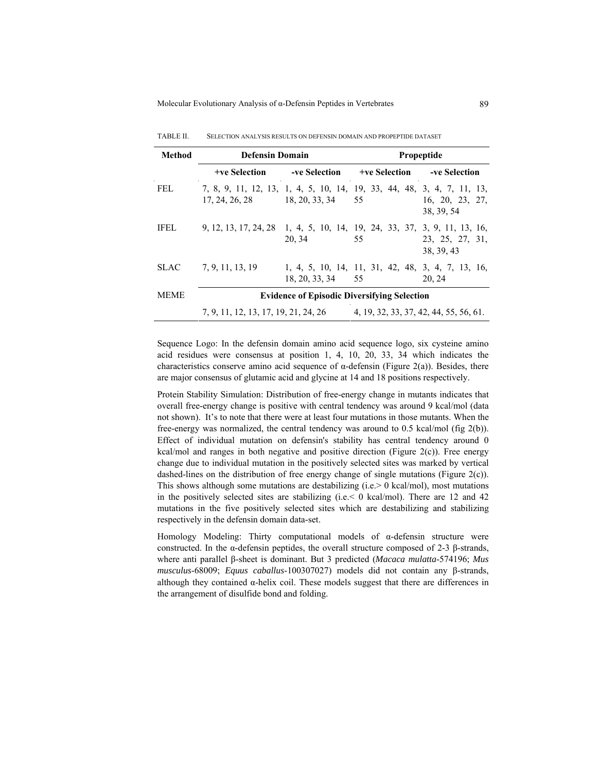| Method      | <b>Defensin Domain</b>                                                                                         |                                                         | Propeptide                             |                                                             |  |
|-------------|----------------------------------------------------------------------------------------------------------------|---------------------------------------------------------|----------------------------------------|-------------------------------------------------------------|--|
|             |                                                                                                                | +ve Selection -ve Selection +ve Selection -ve Selection |                                        |                                                             |  |
| FEL.        | 7, 8, 9, 11, 12, 13, 1, 4, 5, 10, 14, 19, 33, 44, 48, 3, 4, 7, 11, 13,<br>$17, 24, 26, 28$ $18, 20, 33, 34$ 55 |                                                         |                                        | 16, 20, 23, 27,<br>38, 39, 54                               |  |
| IFEL.       | 9, 12, 13, 17, 24, 28, 1, 4, 5, 10, 14, 19, 24, 33, 37, 3, 9, 11, 13, 16,                                      | 20, 34<br>55                                            |                                        | 23, 25, 27, 31,<br>38, 39, 43                               |  |
|             | SLAC 7, 9, 11, 13, 19                                                                                          | $18, 20, 33, 34$ 55                                     |                                        | 1, 4, 5, 10, 14, 11, 31, 42, 48, 3, 4, 7, 13, 16,<br>20, 24 |  |
| <b>MEME</b> | <b>Evidence of Episodic Diversifying Selection</b>                                                             |                                                         |                                        |                                                             |  |
|             | 7, 9, 11, 12, 13, 17, 19, 21, 24, 26                                                                           |                                                         | 4, 19, 32, 33, 37, 42, 44, 55, 56, 61. |                                                             |  |

TABLE II. SELECTION ANALYSIS RESULTS ON DEFENSIN DOMAIN AND PROPEPTIDE DATASET

Sequence Logo: In the defensin domain amino acid sequence logo, six cysteine amino acid residues were consensus at position 1, 4, 10, 20, 33, 34 which indicates the characteristics conserve amino acid sequence of α-defensin (Figure 2(a)). Besides, there are major consensus of glutamic acid and glycine at 14 and 18 positions respectively.

Protein Stability Simulation: Distribution of free-energy change in mutants indicates that overall free-energy change is positive with central tendency was around 9 kcal/mol (data not shown). It's to note that there were at least four mutations in those mutants. When the free-energy was normalized, the central tendency was around to 0.5 kcal/mol (fig 2(b)). Effect of individual mutation on defensin's stability has central tendency around 0 kcal/mol and ranges in both negative and positive direction (Figure 2(c)). Free energy change due to individual mutation in the positively selected sites was marked by vertical dashed-lines on the distribution of free energy change of single mutations (Figure 2(c)). This shows although some mutations are destabilizing  $(i.e. > 0$  kcal/mol), most mutations in the positively selected sites are stabilizing  $(i.e. < 0$  kcal/mol). There are 12 and 42 mutations in the five positively selected sites which are destabilizing and stabilizing respectively in the defensin domain data-set.

Homology Modeling: Thirty computational models of α-defensin structure were constructed. In the  $\alpha$ -defensin peptides, the overall structure composed of 2-3 β-strands, where anti parallel β-sheet is dominant. But 3 predicted (*Macaca mulatta*-574196; *Mus musculus*-68009; *Equus caballus*-100307027) models did not contain any β-strands, although they contained α-helix coil. These models suggest that there are differences in the arrangement of disulfide bond and folding.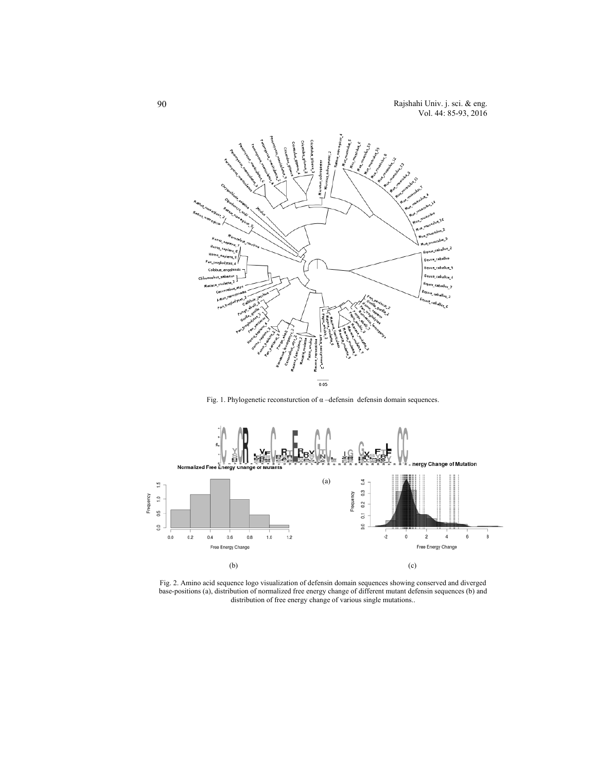

Fig. 1. Phylogenetic reconsturction of  $\alpha$  –defensin defensin domain sequences.



Fig. 2. Amino acid sequence logo visualization of defensin domain sequences showing conserved and diverged base-positions (a), distribution of normalized free energy change of different mutant defensin sequences (b) and distribution of free energy change of various single mutations..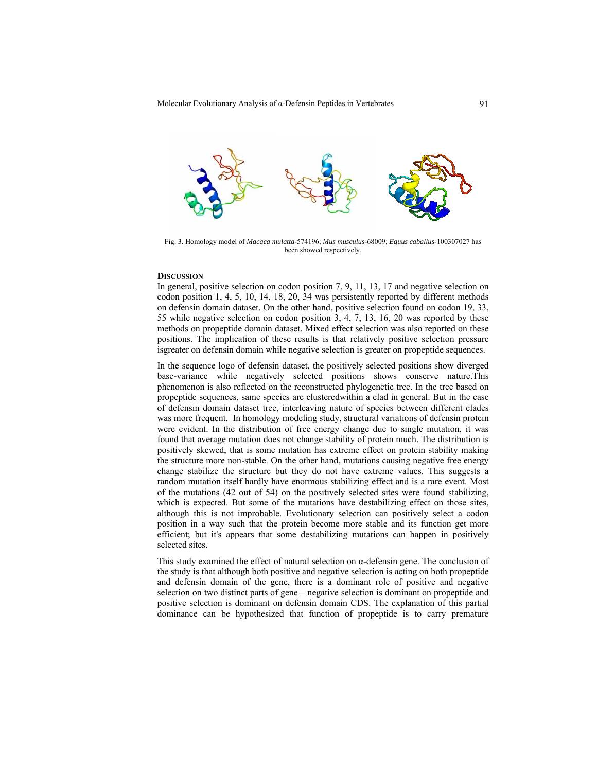

Fig. 3. Homology model of *Macaca mulatta*-574196; *Mus musculus*-68009; *Equus caballus*-100307027 has been showed respectively.

#### **DISCUSSION**

In general, positive selection on codon position 7, 9, 11, 13, 17 and negative selection on codon position 1, 4, 5, 10, 14, 18, 20, 34 was persistently reported by different methods on defensin domain dataset. On the other hand, positive selection found on codon 19, 33, 55 while negative selection on codon position 3, 4, 7, 13, 16, 20 was reported by these methods on propeptide domain dataset. Mixed effect selection was also reported on these positions. The implication of these results is that relatively positive selection pressure isgreater on defensin domain while negative selection is greater on propeptide sequences.

In the sequence logo of defensin dataset, the positively selected positions show diverged base-variance while negatively selected positions shows conserve nature.This phenomenon is also reflected on the reconstructed phylogenetic tree. In the tree based on propeptide sequences, same species are clusteredwithin a clad in general. But in the case of defensin domain dataset tree, interleaving nature of species between different clades was more frequent. In homology modeling study, structural variations of defensin protein were evident. In the distribution of free energy change due to single mutation, it was found that average mutation does not change stability of protein much. The distribution is positively skewed, that is some mutation has extreme effect on protein stability making the structure more non-stable. On the other hand, mutations causing negative free energy change stabilize the structure but they do not have extreme values. This suggests a random mutation itself hardly have enormous stabilizing effect and is a rare event. Most of the mutations (42 out of 54) on the positively selected sites were found stabilizing, which is expected. But some of the mutations have destabilizing effect on those sites, although this is not improbable. Evolutionary selection can positively select a codon position in a way such that the protein become more stable and its function get more efficient; but it's appears that some destabilizing mutations can happen in positively selected sites.

This study examined the effect of natural selection on  $\alpha$ -defensin gene. The conclusion of the study is that although both positive and negative selection is acting on both propeptide and defensin domain of the gene, there is a dominant role of positive and negative selection on two distinct parts of gene – negative selection is dominant on propeptide and positive selection is dominant on defensin domain CDS. The explanation of this partial dominance can be hypothesized that function of propeptide is to carry premature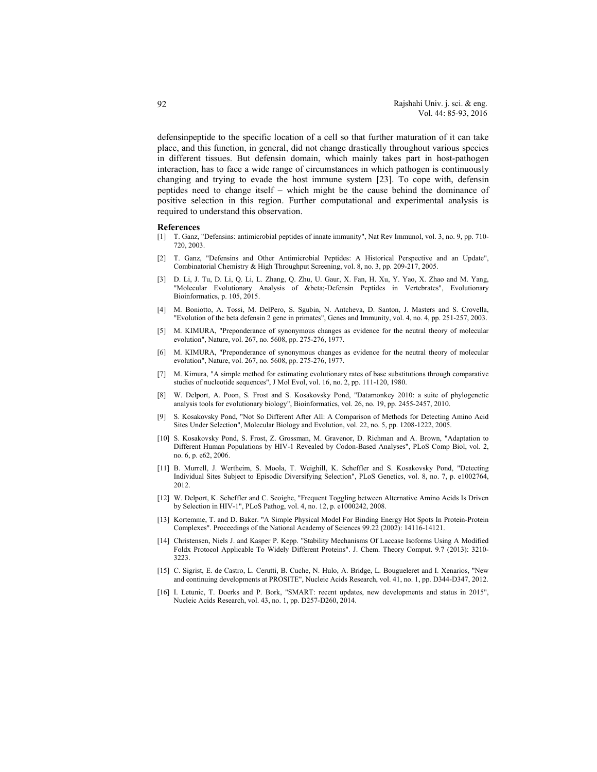defensinpeptide to the specific location of a cell so that further maturation of it can take place, and this function, in general, did not change drastically throughout various species in different tissues. But defensin domain, which mainly takes part in host-pathogen interaction, has to face a wide range of circumstances in which pathogen is continuously changing and trying to evade the host immune system [23]. To cope with, defensin peptides need to change itself – which might be the cause behind the dominance of positive selection in this region. Further computational and experimental analysis is required to understand this observation.

#### **References**

- [1] T. Ganz, "Defensins: antimicrobial peptides of innate immunity", Nat Rev Immunol, vol. 3, no. 9, pp. 710- 720, 2003.
- [2] T. Ganz, "Defensins and Other Antimicrobial Peptides: A Historical Perspective and an Update", Combinatorial Chemistry & High Throughput Screening, vol. 8, no. 3, pp. 209-217, 2005.
- [3] D. Li, J. Tu, D. Li, Q. Li, L. Zhang, Q. Zhu, U. Gaur, X. Fan, H. Xu, Y. Yao, X. Zhao and M. Yang, "Molecular Evolutionary Analysis of β-Defensin Peptides in Vertebrates", Evolutionary Bioinformatics, p. 105, 2015.
- [4] M. Boniotto, A. Tossi, M. DelPero, S. Sgubin, N. Antcheva, D. Santon, J. Masters and S. Crovella, "Evolution of the beta defensin 2 gene in primates", Genes and Immunity, vol. 4, no. 4, pp. 251-257, 2003.
- [5] M. KIMURA, "Preponderance of synonymous changes as evidence for the neutral theory of molecular evolution", Nature, vol. 267, no. 5608, pp. 275-276, 1977.
- [6] M. KIMURA, "Preponderance of synonymous changes as evidence for the neutral theory of molecular evolution", Nature, vol. 267, no. 5608, pp. 275-276, 1977.
- [7] M. Kimura, "A simple method for estimating evolutionary rates of base substitutions through comparative studies of nucleotide sequences", J Mol Evol, vol. 16, no. 2, pp. 111-120, 1980.
- [8] W. Delport, A. Poon, S. Frost and S. Kosakovsky Pond, "Datamonkey 2010: a suite of phylogenetic analysis tools for evolutionary biology", Bioinformatics, vol. 26, no. 19, pp. 2455-2457, 2010.
- [9] S. Kosakovsky Pond, "Not So Different After All: A Comparison of Methods for Detecting Amino Acid Sites Under Selection", Molecular Biology and Evolution, vol. 22, no. 5, pp. 1208-1222, 2005.
- [10] S. Kosakovsky Pond, S. Frost, Z. Grossman, M. Gravenor, D. Richman and A. Brown, "Adaptation to Different Human Populations by HIV-1 Revealed by Codon-Based Analyses", PLoS Comp Biol, vol. 2, no. 6, p. e62, 2006.
- [11] B. Murrell, J. Wertheim, S. Moola, T. Weighill, K. Scheffler and S. Kosakovsky Pond, "Detecting Individual Sites Subject to Episodic Diversifying Selection", PLoS Genetics, vol. 8, no. 7, p. e1002764, 2012.
- [12] W. Delport, K. Scheffler and C. Seoighe, "Frequent Toggling between Alternative Amino Acids Is Driven by Selection in HIV-1", PLoS Pathog, vol. 4, no. 12, p. e1000242, 2008.
- [13] Kortemme, T. and D. Baker. "A Simple Physical Model For Binding Energy Hot Spots In Protein-Protein Complexes". Proceedings of the National Academy of Sciences 99.22 (2002): 14116-14121.
- [14] Christensen, Niels J. and Kasper P. Kepp. "Stability Mechanisms Of Laccase Isoforms Using A Modified Foldx Protocol Applicable To Widely Different Proteins". J. Chem. Theory Comput. 9.7 (2013): 3210- 3223.
- [15] C. Sigrist, E. de Castro, L. Cerutti, B. Cuche, N. Hulo, A. Bridge, L. Bougueleret and I. Xenarios, "New and continuing developments at PROSITE", Nucleic Acids Research, vol. 41, no. 1, pp. D344-D347, 2012.
- [16] I. Letunic, T. Doerks and P. Bork, "SMART: recent updates, new developments and status in 2015", Nucleic Acids Research, vol. 43, no. 1, pp. D257-D260, 2014.